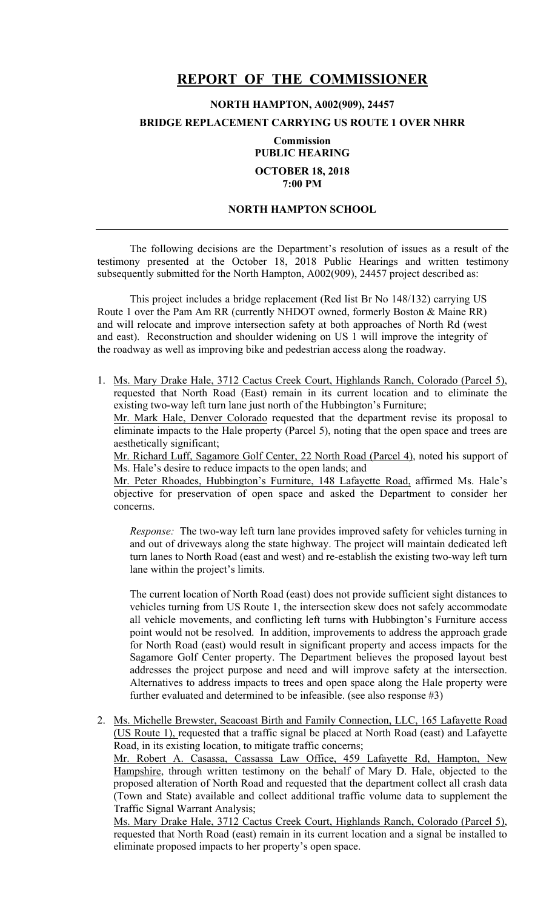## **REPORT OF THE COMMISSIONER**

## **NORTH HAMPTON, A002(909), 24457**

## **BRIDGE REPLACEMENT CARRYING US ROUTE 1 OVER NHRR**

**Commission PUBLIC HEARING OCTOBER 18, 2018 7:00 PM**

## **NORTH HAMPTON SCHOOL**

 The following decisions are the Department's resolution of issues as a result of the testimony presented at the October 18, 2018 Public Hearings and written testimony subsequently submitted for the North Hampton, A002(909), 24457 project described as:

This project includes a bridge replacement (Red list Br No 148/132) carrying US Route 1 over the Pam Am RR (currently NHDOT owned, formerly Boston & Maine RR) and will relocate and improve intersection safety at both approaches of North Rd (west and east). Reconstruction and shoulder widening on US 1 will improve the integrity of the roadway as well as improving bike and pedestrian access along the roadway.

1. Ms. Mary Drake Hale, 3712 Cactus Creek Court, Highlands Ranch, Colorado (Parcel 5), requested that North Road (East) remain in its current location and to eliminate the existing two-way left turn lane just north of the Hubbington's Furniture; Mr. Mark Hale, Denver Colorado requested that the department revise its proposal to eliminate impacts to the Hale property (Parcel 5), noting that the open space and trees are aesthetically significant;

Mr. Richard Luff, Sagamore Golf Center, 22 North Road (Parcel 4), noted his support of Ms. Hale's desire to reduce impacts to the open lands; and

Mr. Peter Rhoades, Hubbington's Furniture, 148 Lafayette Road, affirmed Ms. Hale's objective for preservation of open space and asked the Department to consider her concerns.

*Response:* The two-way left turn lane provides improved safety for vehicles turning in and out of driveways along the state highway. The project will maintain dedicated left turn lanes to North Road (east and west) and re-establish the existing two-way left turn lane within the project's limits.

The current location of North Road (east) does not provide sufficient sight distances to vehicles turning from US Route 1, the intersection skew does not safely accommodate all vehicle movements, and conflicting left turns with Hubbington's Furniture access point would not be resolved. In addition, improvements to address the approach grade for North Road (east) would result in significant property and access impacts for the Sagamore Golf Center property. The Department believes the proposed layout best addresses the project purpose and need and will improve safety at the intersection. Alternatives to address impacts to trees and open space along the Hale property were further evaluated and determined to be infeasible. (see also response #3)

2. Ms. Michelle Brewster, Seacoast Birth and Family Connection, LLC, 165 Lafayette Road (US Route 1), requested that a traffic signal be placed at North Road (east) and Lafayette Road, in its existing location, to mitigate traffic concerns; Mr. Robert A. Casassa, Cassassa Law Office, 459 Lafayette Rd, Hampton, New Hampshire, through written testimony on the behalf of Mary D. Hale, objected to the proposed alteration of North Road and requested that the department collect all crash data (Town and State) available and collect additional traffic volume data to supplement the Traffic Signal Warrant Analysis;

Ms. Mary Drake Hale, 3712 Cactus Creek Court, Highlands Ranch, Colorado (Parcel 5), requested that North Road (east) remain in its current location and a signal be installed to eliminate proposed impacts to her property's open space.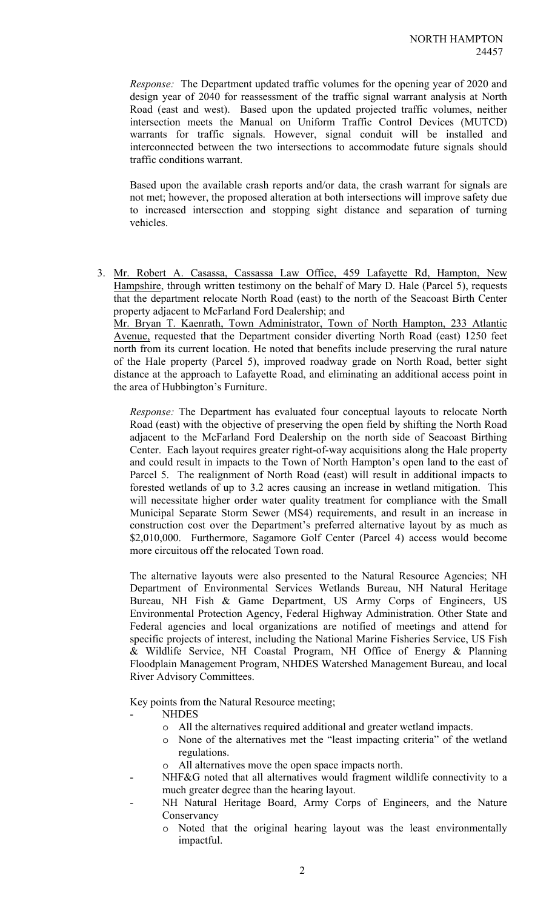*Response:* The Department updated traffic volumes for the opening year of 2020 and design year of 2040 for reassessment of the traffic signal warrant analysis at North Road (east and west). Based upon the updated projected traffic volumes, neither intersection meets the Manual on Uniform Traffic Control Devices (MUTCD) warrants for traffic signals. However, signal conduit will be installed and interconnected between the two intersections to accommodate future signals should traffic conditions warrant.

Based upon the available crash reports and/or data, the crash warrant for signals are not met; however, the proposed alteration at both intersections will improve safety due to increased intersection and stopping sight distance and separation of turning vehicles.

3. Mr. Robert A. Casassa, Cassassa Law Office, 459 Lafayette Rd, Hampton, New Hampshire, through written testimony on the behalf of Mary D. Hale (Parcel 5), requests that the department relocate North Road (east) to the north of the Seacoast Birth Center property adjacent to McFarland Ford Dealership; and Mr. Bryan T. Kaenrath, Town Administrator, Town of North Hampton, 233 Atlantic Avenue, requested that the Department consider diverting North Road (east) 1250 feet north from its current location. He noted that benefits include preserving the rural nature

of the Hale property (Parcel 5), improved roadway grade on North Road, better sight distance at the approach to Lafayette Road, and eliminating an additional access point in the area of Hubbington's Furniture.

*Response:* The Department has evaluated four conceptual layouts to relocate North Road (east) with the objective of preserving the open field by shifting the North Road adjacent to the McFarland Ford Dealership on the north side of Seacoast Birthing Center. Each layout requires greater right-of-way acquisitions along the Hale property and could result in impacts to the Town of North Hampton's open land to the east of Parcel 5. The realignment of North Road (east) will result in additional impacts to forested wetlands of up to 3.2 acres causing an increase in wetland mitigation. This will necessitate higher order water quality treatment for compliance with the Small Municipal Separate Storm Sewer (MS4) requirements, and result in an increase in construction cost over the Department's preferred alternative layout by as much as \$2,010,000. Furthermore, Sagamore Golf Center (Parcel 4) access would become more circuitous off the relocated Town road.

The alternative layouts were also presented to the Natural Resource Agencies; NH Department of Environmental Services Wetlands Bureau, NH Natural Heritage Bureau, NH Fish & Game Department, US Army Corps of Engineers, US Environmental Protection Agency, Federal Highway Administration. Other State and Federal agencies and local organizations are notified of meetings and attend for specific projects of interest, including the National Marine Fisheries Service, US Fish & Wildlife Service, NH Coastal Program, NH Office of Energy & Planning Floodplain Management Program, NHDES Watershed Management Bureau, and local River Advisory Committees.

Key points from the Natural Resource meeting;

- NHDES
	- o All the alternatives required additional and greater wetland impacts.
	- o None of the alternatives met the "least impacting criteria" of the wetland regulations.
	- o All alternatives move the open space impacts north.
- NHF&G noted that all alternatives would fragment wildlife connectivity to a much greater degree than the hearing layout.
	- NH Natural Heritage Board, Army Corps of Engineers, and the Nature **Conservancy** 
		- o Noted that the original hearing layout was the least environmentally impactful.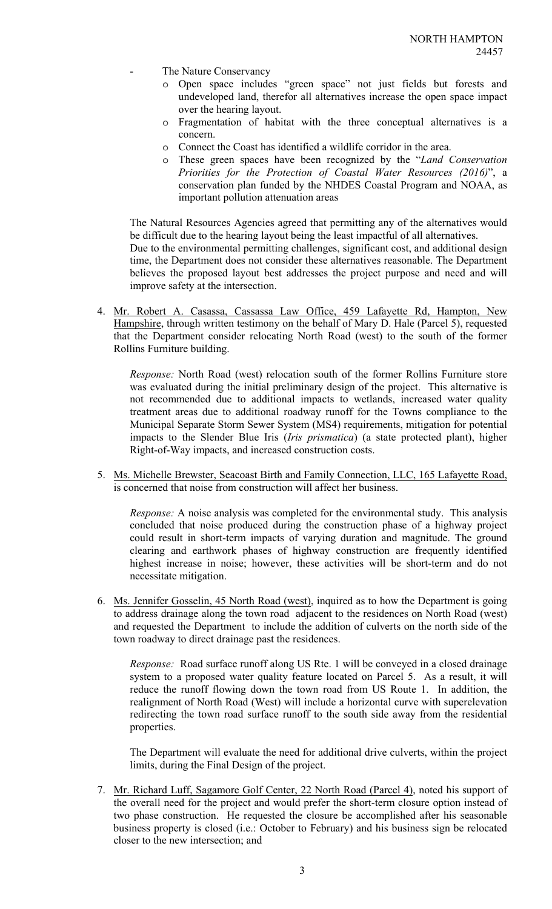- The Nature Conservancy
	- o Open space includes "green space" not just fields but forests and undeveloped land, therefor all alternatives increase the open space impact over the hearing layout.
	- o Fragmentation of habitat with the three conceptual alternatives is a concern.
	- o Connect the Coast has identified a wildlife corridor in the area.
	- o These green spaces have been recognized by the "*Land Conservation Priorities for the Protection of Coastal Water Resources (2016)*", a conservation plan funded by the NHDES Coastal Program and NOAA, as important pollution attenuation areas

The Natural Resources Agencies agreed that permitting any of the alternatives would be difficult due to the hearing layout being the least impactful of all alternatives. Due to the environmental permitting challenges, significant cost, and additional design time, the Department does not consider these alternatives reasonable. The Department believes the proposed layout best addresses the project purpose and need and will improve safety at the intersection.

4. Mr. Robert A. Casassa, Cassassa Law Office, 459 Lafayette Rd, Hampton, New Hampshire, through written testimony on the behalf of Mary D. Hale (Parcel 5), requested that the Department consider relocating North Road (west) to the south of the former Rollins Furniture building.

*Response:* North Road (west) relocation south of the former Rollins Furniture store was evaluated during the initial preliminary design of the project. This alternative is not recommended due to additional impacts to wetlands, increased water quality treatment areas due to additional roadway runoff for the Towns compliance to the Municipal Separate Storm Sewer System (MS4) requirements, mitigation for potential impacts to the Slender Blue Iris (*Iris prismatica*) (a state protected plant), higher Right-of-Way impacts, and increased construction costs.

5. Ms. Michelle Brewster, Seacoast Birth and Family Connection, LLC, 165 Lafayette Road, is concerned that noise from construction will affect her business.

*Response:* A noise analysis was completed for the environmental study. This analysis concluded that noise produced during the construction phase of a highway project could result in short-term impacts of varying duration and magnitude. The ground clearing and earthwork phases of highway construction are frequently identified highest increase in noise; however, these activities will be short-term and do not necessitate mitigation.

6. Ms. Jennifer Gosselin, 45 North Road (west), inquired as to how the Department is going to address drainage along the town road adjacent to the residences on North Road (west) and requested the Department to include the addition of culverts on the north side of the town roadway to direct drainage past the residences.

*Response:* Road surface runoff along US Rte. 1 will be conveyed in a closed drainage system to a proposed water quality feature located on Parcel 5. As a result, it will reduce the runoff flowing down the town road from US Route 1. In addition, the realignment of North Road (West) will include a horizontal curve with superelevation redirecting the town road surface runoff to the south side away from the residential properties.

The Department will evaluate the need for additional drive culverts, within the project limits, during the Final Design of the project.

7. Mr. Richard Luff, Sagamore Golf Center, 22 North Road (Parcel 4), noted his support of the overall need for the project and would prefer the short-term closure option instead of two phase construction. He requested the closure be accomplished after his seasonable business property is closed (i.e.: October to February) and his business sign be relocated closer to the new intersection; and